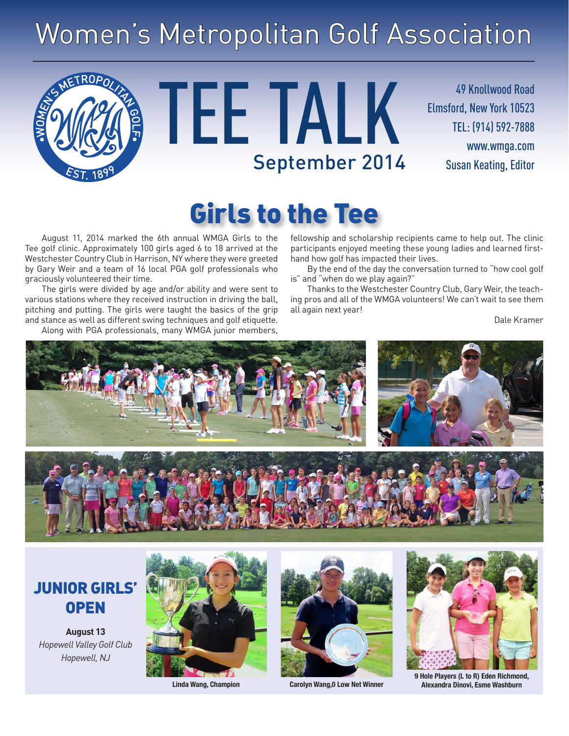# Women's Metropolitan Golf Association



TEE TALK September 2014 Susan Keating, Editor

49 Knollwood Road Elmsford, New York 10523 TEL: (914) 592-7888 www.wmga.com

## Girls to the Tee

August 11, 2014 marked the 6th annual WMGA Girls to the Tee golf clinic. Approximately 100 girls aged 6 to 18 arrived at the Westchester Country Club in Harrison, NY where they were greeted by Gary Weir and a team of 16 local PGA golf professionals who graciously volunteered their time.

The girls were divided by age and/or ability and were sent to various stations where they received instruction in driving the ball, pitching and putting. The girls were taught the basics of the grip and stance as well as different swing techniques and golf etiquette.

Along with PGA professionals, many WMGA junior members,

fellowship and scholarship recipients came to help out. The clinic participants enjoyed meeting these young ladies and learned firsthand how golf has impacted their lives.

By the end of the day the conversation turned to "how cool golf is" and "when do we play again?"

Thanks to the Westchester Country Club, Gary Weir, the teaching pros and all of the WMGA volunteers! We can't wait to see them all again next year!

Dale Kramer



#### JUNIOR GIRLS' **OPEN**

**August 13** *Hopewell Valley Golf Club Hopewell, NJ*







**9 Hole Players (L to R) Eden Richmond, Linda Wang, Champion Carolyn Wang,0 Low Net Winner Alexandra Dinovi, Esme Washburn**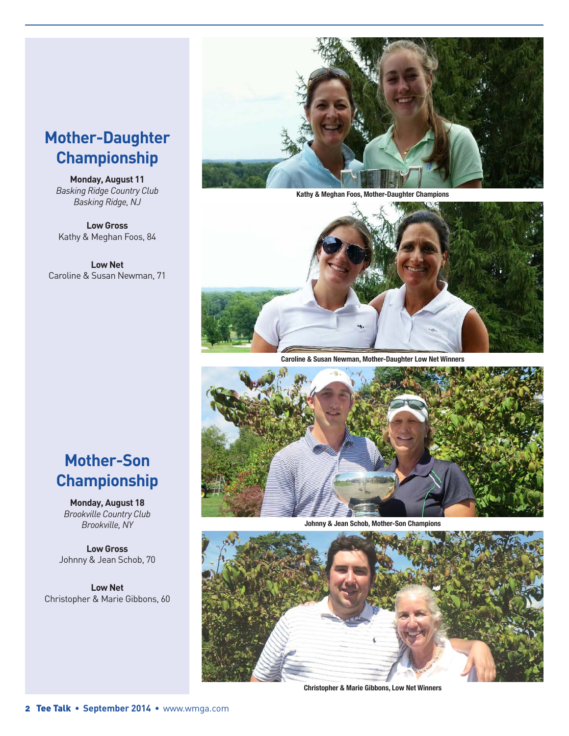#### **Mother-Daughter Championship**

**Monday, August 11** *Basking Ridge Country Club Basking Ridge, NJ*

**Low Gross** Kathy & Meghan Foos, 84

**Low Net** Caroline & Susan Newman, 71



**Kathy & Meghan Foos, Mother-Daughter Champions**



**Caroline & Susan Newman, Mother-Daughter Low Net Winners**



**Johnny & Jean Schob, Mother-Son Champions**



**Christopher & Marie Gibbons, Low Net Winners**

#### **Mother-Son Championship**

**Monday, August 18** *Brookville Country Club Brookville, NY*

**Low Gross** Johnny & Jean Schob, 70

**Low Net** Christopher & Marie Gibbons, 60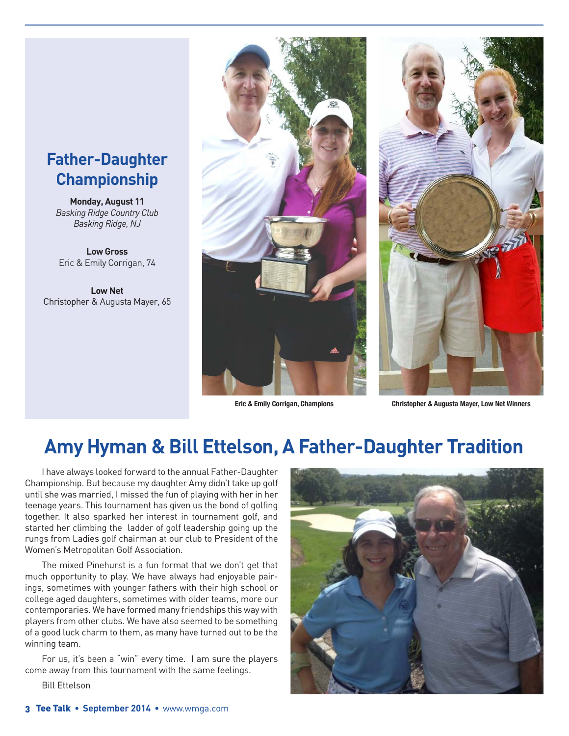#### **Father-Daughter Championship**

**Monday, August 11** *Basking Ridge Country Club Basking Ridge, NJ*

**Low Gross** Eric & Emily Corrigan, 74

**Low Net** Christopher & Augusta Mayer, 65





**Eric & Emily Corrigan, Champions Christopher & Augusta Mayer, Low Net Winners**

### **Amy Hyman & Bill Ettelson, A Father-Daughter Tradition**

I have always looked forward to the annual Father-Daughter Championship. But because my daughter Amy didn't take up golf until she was married, I missed the fun of playing with her in her teenage years. This tournament has given us the bond of golfing together. It also sparked her interest in tournament golf, and started her climbing the ladder of golf leadership going up the rungs from Ladies golf chairman at our club to President of the Women's Metropolitan Golf Association.

The mixed Pinehurst is a fun format that we don't get that much opportunity to play. We have always had enjoyable pairings, sometimes with younger fathers with their high school or college aged daughters, sometimes with older teams, more our contemporaries. We have formed many friendships this way with players from other clubs. We have also seemed to be something of a good luck charm to them, as many have turned out to be the winning team.

For us, it's been a "win" every time. I am sure the players come away from this tournament with the same feelings.

Bill Ettelson

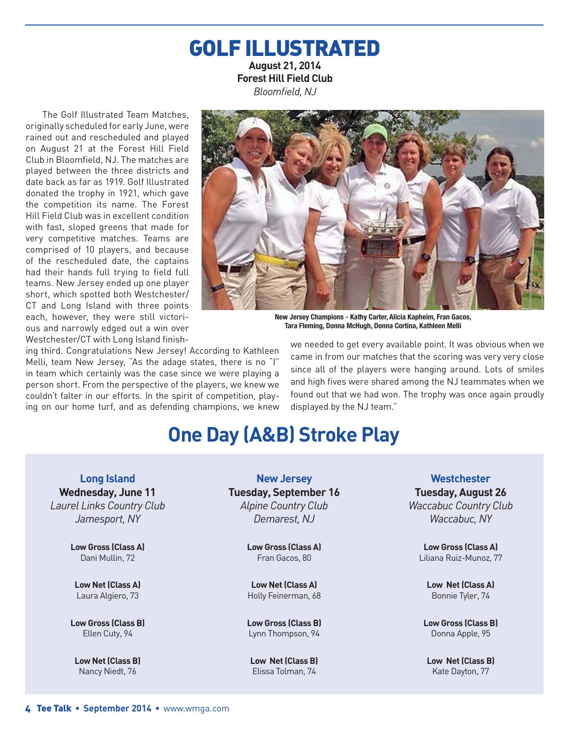#### GOLF ILLUSTRATED **August 21, 2014 Forest Hill Field Club**  *Bloomfield, NJ*

The Golf Illustrated Team Matches, originally scheduled for early June, were rained out and rescheduled and played on August 21 at the Forest Hill Field Club in Bloomfield, NJ. The matches are played between the three districts and date back as far as 1919. Golf Illustrated donated the trophy in 1921, which gave the competition its name. The Forest Hill Field Club was in excellent condition with fast, sloped greens that made for very competitive matches. Teams are comprised of 10 players, and because of the rescheduled date, the captains had their hands full trying to field full teams. New Jersey ended up one player short, which spotted both Westchester/ CT and Long Island with three points each, however, they were still victorious and narrowly edged out a win over Westchester/CT with Long Island finish-



**New Jersey Champions - Kathy Carter, Alicia Kapheim, Fran Gacos, Tara Fleming, Donna McHugh, Donna Cortina, Kathleen Melli**

ing third. Congratulations New Jersey! According to Kathleen Melli, team New Jersey, "As the adage states, there is no "I" in team which certainly was the case since we were playing a person short. From the perspective of the players, we knew we couldn't falter in our efforts. In the spirit of competition, playing on our home turf, and as defending champions, we knew we needed to get every available point. It was obvious when we came in from our matches that the scoring was very very close since all of the players were hanging around. Lots of smiles and high fives were shared among the NJ teammates when we found out that we had won. The trophy was once again proudly displayed by the NJ team."

## **One Day (A&B) Stroke Play**

**Long Island Wednesday, June 11** *Laurel Links Country Club Jamesport, NY*

> **Low Gross (Class A)** Dani Mullin, 72

**Low Net (Class A)** Laura Algiero, 73

**Low Gross (Class B)** Ellen Cuty, 94

**Low Net (Class B)** Nancy Niedt, 76

**New Jersey Tuesday, September 16** *Alpine Country Club Demarest, NJ*

> **Low Gross (Class A)** Fran Gacos, 80

**Low Net (Class A)** Holly Feinerman, 68

**Low Gross (Class B)** Lynn Thompson, 94

**Low Net (Class B)** Elissa Tolman, 74

**Westchester Tuesday, August 26** *Waccabuc Country Club Waccabuc, NY*

**Low Gross (Class A)** Liliana Ruiz-Munoz, 77

**Low Net (Class A)** Bonnie Tyler, 74

**Low Gross (Class B)** Donna Apple, 95

**Low Net (Class B)** Kate Dayton, 77